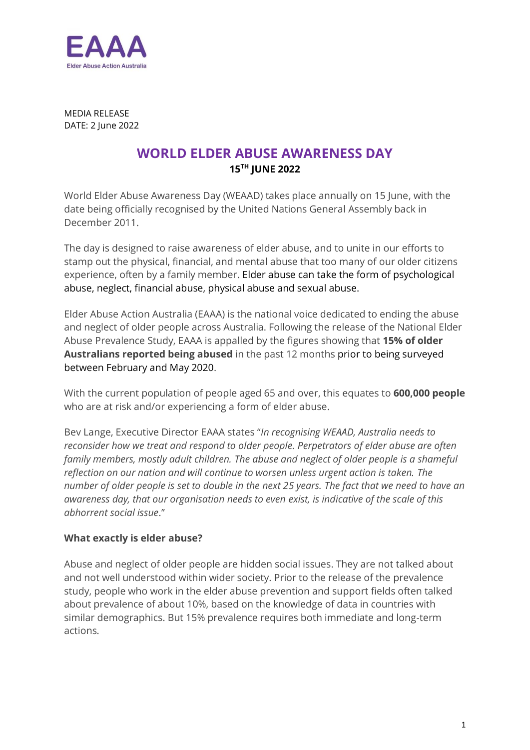

MEDIA RELEASE DATE: 2 June 2022

# **WORLD ELDER ABUSE AWARENESS DAY 15TH JUNE 2022**

World Elder Abuse Awareness Day (WEAAD) takes place annually on 15 June, with the date being officially recognised by the United Nations General Assembly back in December 2011.

The day is designed to raise awareness of elder abuse, and to unite in our efforts to stamp out the physical, financial, and mental abuse that too many of our older citizens experience, often by a family member. Elder abuse can take the form of psychological abuse, neglect, financial abuse, physical abuse and sexual abuse.

Elder Abuse Action Australia (EAAA) is the national voice dedicated to ending the abuse and neglect of older people across Australia. Following the release of the National Elder Abuse Prevalence Study, EAAA is appalled by the figures showing that **15% of older Australians reported being abused** in the past 12 months prior to being surveyed between February and May 2020.

With the current population of people aged 65 and over, this equates to **600,000 people** who are at risk and/or experiencing a form of elder abuse.

Bev Lange, Executive Director EAAA states "*In recognising WEAAD, Australia needs to reconsider how we treat and respond to older people. Perpetrators of elder abuse are often family members, mostly adult children. The abuse and neglect of older people is a shameful reflection on our nation and will continue to worsen unless urgent action is taken. The number of older people is set to double in the next 25 years. The fact that we need to have an awareness day, that our organisation needs to even exist, is indicative of the scale of this abhorrent social issue*."

## **What exactly is elder abuse?**

Abuse and neglect of older people are hidden social issues. They are not talked about and not well understood within wider society. Prior to the release of the prevalence study, people who work in the elder abuse prevention and support fields often talked about prevalence of about 10%, based on the knowledge of data in countries with similar demographics. But 15% prevalence requires both immediate and long-term actions.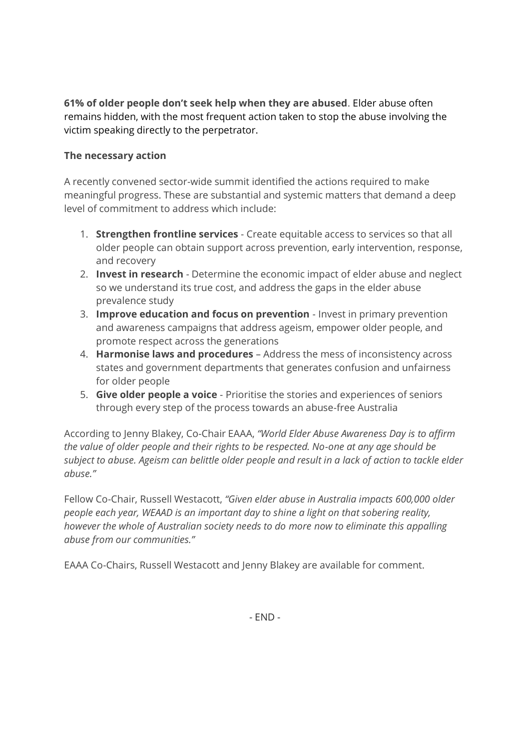**61% of older people don't seek help when they are abused**. Elder abuse often remains hidden, with the most frequent action taken to stop the abuse involving the victim speaking directly to the perpetrator.

## **The necessary action**

A recently convened sector-wide summit identified the actions required to make meaningful progress. These are substantial and systemic matters that demand a deep level of commitment to address which include:

- 1. **Strengthen frontline services**  Create equitable access to services so that all older people can obtain support across prevention, early intervention, response, and recovery
- 2. **Invest in research**  Determine the economic impact of elder abuse and neglect so we understand its true cost, and address the gaps in the elder abuse prevalence study
- 3. **Improve education and focus on prevention**  Invest in primary prevention and awareness campaigns that address ageism, empower older people, and promote respect across the generations
- 4. **Harmonise laws and procedures**  Address the mess of inconsistency across states and government departments that generates confusion and unfairness for older people
- 5. **Give older people a voice**  Prioritise the stories and experiences of seniors through every step of the process towards an abuse-free Australia

According to Jenny Blakey, Co-Chair EAAA, *"World Elder Abuse Awareness Day is to affirm the value of older people and their rights to be respected. No-one at any age should be subject to abuse. Ageism can belittle older people and result in a lack of action to tackle elder abuse."*

Fellow Co-Chair, Russell Westacott, *"Given elder abuse in Australia impacts 600,000 older people each year, WEAAD is an important day to shine a light on that sobering reality, however the whole of Australian society needs to do more now to eliminate this appalling abuse from our communities."*

EAAA Co-Chairs, Russell Westacott and Jenny Blakey are available for comment.

- END -